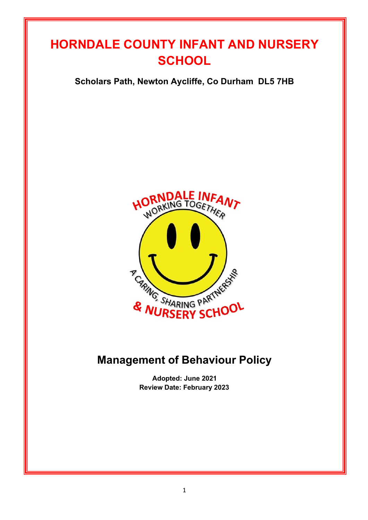# **HORNDALE COUNTY INFANT AND NURSERY SCHOOL**

**Scholars Path, Newton Aycliffe, Co Durham DL5 7HB**



# **Management of Behaviour Policy**

**Adopted: June 2021 Review Date: February 2023**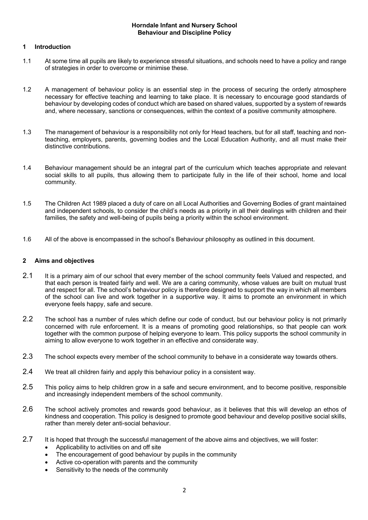#### **Horndale Infant and Nursery School Behaviour and Discipline Policy**

#### **1 Introduction**

- 1.1 At some time all pupils are likely to experience stressful situations, and schools need to have a policy and range of strategies in order to overcome or minimise these.
- 1.2 A management of behaviour policy is an essential step in the process of securing the orderly atmosphere necessary for effective teaching and learning to take place. It is necessary to encourage good standards of behaviour by developing codes of conduct which are based on shared values, supported by a system of rewards and, where necessary, sanctions or consequences, within the context of a positive community atmosphere.
- 1.3 The management of behaviour is a responsibility not only for Head teachers, but for all staff, teaching and nonteaching, employers, parents, governing bodies and the Local Education Authority, and all must make their distinctive contributions.
- 1.4 Behaviour management should be an integral part of the curriculum which teaches appropriate and relevant social skills to all pupils, thus allowing them to participate fully in the life of their school, home and local community.
- 1.5 The Children Act 1989 placed a duty of care on all Local Authorities and Governing Bodies of grant maintained and independent schools, to consider the child's needs as a priority in all their dealings with children and their families, the safety and well-being of pupils being a priority within the school environment.
- 1.6 All of the above is encompassed in the school's Behaviour philosophy as outlined in this document.

### **2 Aims and objectives**

- 2.1 It is a primary aim of our school that every member of the school community feels Valued and respected, and that each person is treated fairly and well. We are a caring community, whose values are built on mutual trust and respect for all. The school's behaviour policy is therefore designed to support the way in which all members of the school can live and work together in a supportive way. It aims to promote an environment in which everyone feels happy, safe and secure.
- 2.2 The school has a number of rules which define our code of conduct, but our behaviour policy is not primarily concerned with rule enforcement. It is a means of promoting good relationships, so that people can work together with the common purpose of helping everyone to learn. This policy supports the school community in aiming to allow everyone to work together in an effective and considerate way.
- 2.3 The school expects every member of the school community to behave in a considerate way towards others.
- 2.4 We treat all children fairly and apply this behaviour policy in a consistent way.
- 2.5 This policy aims to help children grow in a safe and secure environment, and to become positive, responsible and increasingly independent members of the school community.
- 2.6 The school actively promotes and rewards good behaviour, as it believes that this will develop an ethos of kindness and cooperation. This policy is designed to promote good behaviour and develop positive social skills, rather than merely deter anti-social behaviour.
- 2.7 It is hoped that through the successful management of the above aims and objectives, we will foster:
	- Applicability to activities on and off site
	- The encouragement of good behaviour by pupils in the community
	- Active co-operation with parents and the community
	- Sensitivity to the needs of the community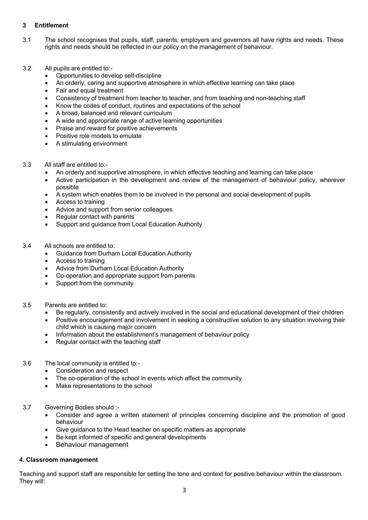# **3 Entitlement**

- 3.1 The school recognises that pupils, staff, parents, employers and governors all have rights and needs. These rights and needs should be reflected in our policy on the management of behaviour.
- 3.2 All pupils are entitled to:-
	- Opportunities to develop self-discipline
	- An orderly, caring and supportive atmosphere in which effective learning can take place
	- Fair and equal treatment
	- Consistency of treatment from teacher to teacher, and from teaching and non-teaching staff
	- Know the codes of conduct, routines and expectations of the school
	- A broad, balanced and relevant curriculum
	- A wide and appropriate range of active learning opportunities
	- Praise and reward for positive achievements
	- Positive role models to emulate
	- A stimulating environment
- 3.3 All staff are entitled to:-
	- An orderly and supportive atmosphere, in which effective teaching and learning can take place
	- Active participation in the development and review of the management of behaviour policy, wherever possible
	- A system which enables them to be involved in the personal and social development of pupils
	- Access to training
	- Advice and support from senior colleagues
	- Regular contact with parents
	- Support and guidance from Local Education Authority
- 3.4 All schools are entitled to:
	- Guidance from Durham Local Education Authority
	- Access to training
	- Advice from Durham Local Education Authority
	- Co-operation and appropriate support from parents
	- Support from the community
- 3.5 Parents are entitled to:
	- Be regularly, consistently and actively involved in the social and educational development of their children
	- Positive encouragement and involvement in seeking a constructive solution to any situation involving their child which is causing major concern
	- Information about the establishment's management of behaviour policy
	- Regular contact with the teaching staff
- 3.6 The local community is entitled to:-
	- Consideration and respect
	- The co-operation of the school in events which affect the community
	- Make representations to the school
- 3.7 Governing Bodies should :-
	- Consider and agree a written statement of principles concerning discipline and the promotion of good behaviour
	- Give guidance to the Head teacher on specific matters as appropriate
	- Be kept informed of specific and general developments
	- Behaviour management

### **4. Classroom management**

Teaching and support staff are responsible for setting the tone and context for positive behaviour within the classroom. They will: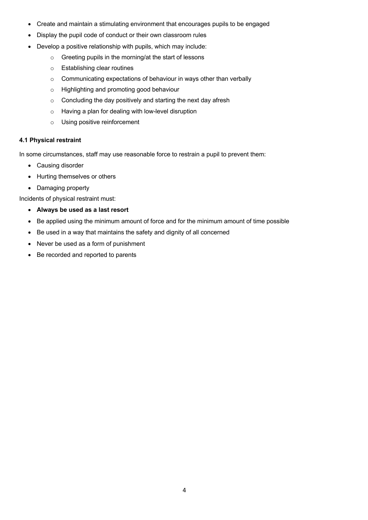- Create and maintain a stimulating environment that encourages pupils to be engaged
- Display the pupil code of conduct or their own classroom rules
- Develop a positive relationship with pupils, which may include:
	- o Greeting pupils in the morning/at the start of lessons
	- o Establishing clear routines
	- o Communicating expectations of behaviour in ways other than verbally
	- o Highlighting and promoting good behaviour
	- o Concluding the day positively and starting the next day afresh
	- o Having a plan for dealing with low-level disruption
	- o Using positive reinforcement

# **4.1 Physical restraint**

In some circumstances, staff may use reasonable force to restrain a pupil to prevent them:

- Causing disorder
- Hurting themselves or others
- Damaging property

Incidents of physical restraint must:

- **Always be used as a last resort**
- Be applied using the minimum amount of force and for the minimum amount of time possible
- Be used in a way that maintains the safety and dignity of all concerned
- Never be used as a form of punishment
- Be recorded and reported to parents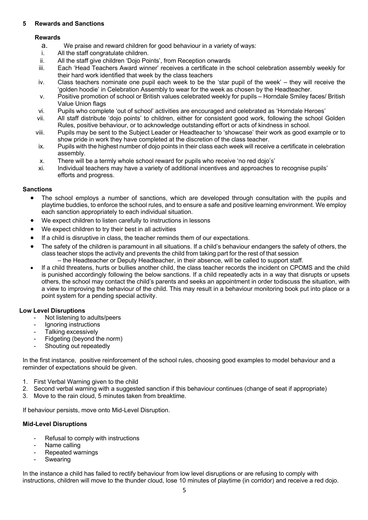# **5 Rewards and Sanctions**

# **Rewards**

- a. We praise and reward children for good behaviour in a variety of ways:
- i. All the staff congratulate children.
- ii. All the staff give children 'Dojo Points', from Reception onwards
- iii. Each 'Head Teachers Award winner' receives a certificate in the school celebration assembly weekly for their hard work identified that week by the class teachers
- iv. Class teachers nominate one pupil each week to be the 'star pupil of the week' they will receive the 'golden hoodie' in Celebration Assembly to wear for the week as chosen by the Headteacher.
- v. Positive promotion of school or British values celebrated weekly for pupils Horndale Smiley faces/ British Value Union flags
- vi. Pupils who complete 'out of school' activities are encouraged and celebrated as 'Horndale Heroes'
- vii. All staff distribute 'dojo points' to children, either for consistent good work, following the school Golden Rules, positive behaviour, or to acknowledge outstanding effort or acts of kindness in school.
- viii. Pupils may be sent to the Subject Leader or Headteacher to 'showcase' their work as good example or to show pride in work they have completed at the discretion of the class teacher.
- ix. Pupils with the highest number of dojo points in their class each week will receive a certificate in celebration assembly.
- x. There will be a termly whole school reward for pupils who receive 'no red dojo's'
- xi. Individual teachers may have a variety of additional incentives and approaches to recognise pupils' efforts and progress.

# **Sanctions**

- The school employs a number of sanctions, which are developed through consultation with the pupils and playtime buddies, to enforce the school rules, and to ensure a safe and positive learning environment. We employ each sanction appropriately to each individual situation.
- We expect children to listen carefully to instructions in lessons
- We expect children to try their best in all activities
- If a child is disruptive in class, the teacher reminds them of our expectations.
- The safety of the children is paramount in all situations. If a child's behaviour endangers the safety of others, the class teacher stops the activity and prevents the child from taking part for the rest of that session – the Headteacher or Deputy Headteacher, in their absence, will be called to support staff.
- If a child threatens, hurts or bullies another child, the class teacher records the incident on CPOMS and the child is punished accordingly following the below sanctions. If a child repeatedly acts in a way that disrupts or upsets others, the school may contact the child's parents and seeks an appointment in order to discuss the situation, with a view to improving the behaviour of the child. This may result in a behaviour monitoring book put into place or a point system for a pending special activity.

### **Low Level Disruptions**

- Not listening to adults/peers
- Ignoring instructions
- Talking excessively
- Fidgeting (beyond the norm)
- Shouting out repeatedly

In the first instance, positive reinforcement of the school rules, choosing good examples to model behaviour and a reminder of expectations should be given.

- 1. First Verbal Warning given to the child
- 2. Second verbal warning with a suggested sanction if this behaviour continues (change of seat if appropriate)
- 3. Move to the rain cloud, 5 minutes taken from breaktime.

If behaviour persists, move onto Mid-Level Disruption.

### **Mid-Level Disruptions**

- Refusal to comply with instructions
- Name calling
- Repeated warnings
- **Swearing**

In the instance a child has failed to rectify behaviour from low level disruptions or are refusing to comply with instructions, children will move to the thunder cloud, lose 10 minutes of playtime (in corridor) and receive a red dojo.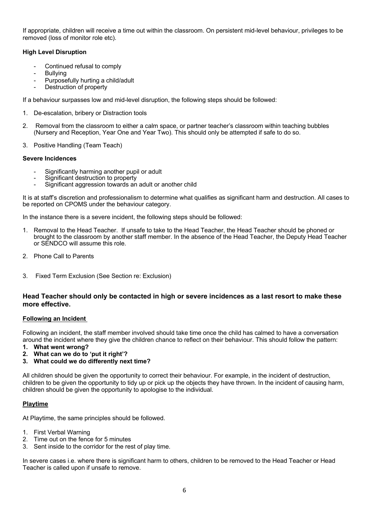If appropriate, children will receive a time out within the classroom. On persistent mid-level behaviour, privileges to be removed (loss of monitor role etc).

# **High Level Disruption**

- Continued refusal to comply
- **Bullying**
- Purposefully hurting a child/adult
- Destruction of property

If a behaviour surpasses low and mid-level disruption, the following steps should be followed:

- 1. De-escalation, bribery or Distraction tools
- 2. Removal from the classroom to either a calm space, or partner teacher's classroom within teaching bubbles (Nursery and Reception, Year One and Year Two). This should only be attempted if safe to do so.
- 3. Positive Handling (Team Teach)

#### **Severe Incidences**

- Significantly harming another pupil or adult
- Significant destruction to property
- Significant aggression towards an adult or another child

It is at staff's discretion and professionalism to determine what qualifies as significant harm and destruction. All cases to be reported on CPOMS under the behaviour category.

In the instance there is a severe incident, the following steps should be followed:

- 1. Removal to the Head Teacher. If unsafe to take to the Head Teacher, the Head Teacher should be phoned or brought to the classroom by another staff member. In the absence of the Head Teacher, the Deputy Head Teacher or SENDCO will assume this role.
- 2. Phone Call to Parents
- 3. Fixed Term Exclusion (See Section re: Exclusion)

### **Head Teacher should only be contacted in high or severe incidences as a last resort to make these more effective.**

### **Following an Incident**

Following an incident, the staff member involved should take time once the child has calmed to have a conversation around the incident where they give the children chance to reflect on their behaviour. This should follow the pattern:

- **1. What went wrong?**
- **2. What can we do to 'put it right'?**
- **3. What could we do differently next time?**

All children should be given the opportunity to correct their behaviour. For example, in the incident of destruction, children to be given the opportunity to tidy up or pick up the objects they have thrown. In the incident of causing harm, children should be given the opportunity to apologise to the individual.

### **Playtime**

At Playtime, the same principles should be followed.

- 1. First Verbal Warning
- 2. Time out on the fence for 5 minutes
- 3. Sent inside to the corridor for the rest of play time.

In severe cases i.e. where there is significant harm to others, children to be removed to the Head Teacher or Head Teacher is called upon if unsafe to remove.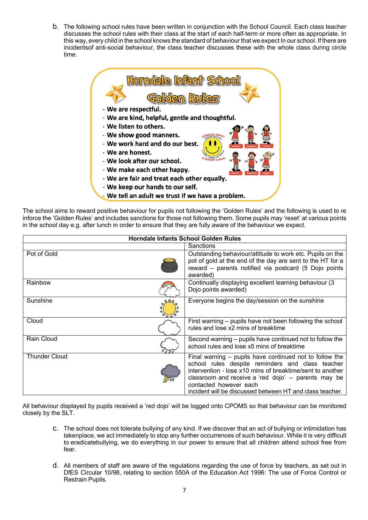b. The following school rules have been written in conjunction with the School Council. Each class teacher discusses the school rules with their class at the start of each half-term or more often as appropriate. In this way, every child in the school knows the standard of behaviour that we expect In our school. If there are incidentsof anti-social behaviour, the class teacher discusses these with the whole class during circle time.



The school aims to reward positive behaviour for pupils not following the 'Golden Rules' and the following is used to re inforce the 'Golden Rules' and includes sanctions for those not following them. Some pupils may 'reset' at various points in the school day e.g. after lunch in order to ensure that they are fully aware of the behaviour we expect.

| <b>Horndale Infants School Golden Rules</b> |  |                                                                                                                                                                                                                                                                                                                       |
|---------------------------------------------|--|-----------------------------------------------------------------------------------------------------------------------------------------------------------------------------------------------------------------------------------------------------------------------------------------------------------------------|
|                                             |  | Sanctions                                                                                                                                                                                                                                                                                                             |
| Pot of Gold                                 |  | Outstanding behaviour/attitude to work etc. Pupils on the<br>pot of gold at the end of the day are sent to the HT for a<br>reward - parents notified via postcard (5 Dojo points<br>awarded)                                                                                                                          |
| Rainbow                                     |  | Continually displaying excellent learning behaviour (3<br>Dojo points awarded)                                                                                                                                                                                                                                        |
| Sunshine                                    |  | Everyone begins the day/session on the sunshine                                                                                                                                                                                                                                                                       |
| Cloud                                       |  | First warning – pupils have not been following the school<br>rules and lose x2 mins of breaktime                                                                                                                                                                                                                      |
| Rain Cloud                                  |  | Second warning - pupils have continued not to follow the<br>school rules and lose x5 mins of breaktime                                                                                                                                                                                                                |
| <b>Thunder Cloud</b>                        |  | Final warning – pupils have continued not to follow the<br>school rules despite reminders and class teacher<br>intervention - lose x10 mins of breaktime/sent to another<br>classroom and receive a 'red dojo' - parents may be<br>contacted however each<br>incident will be discussed between HT and class teacher. |

All behaviour displayed by pupils received a 'red dojo' will be logged onto CPOMS so that behaviour can be monitored closely by the SLT.

- c. The school does not tolerate bullying of any kind. If we discover that an act of bullying or intimidation has takenplace, we act immediately to stop any further occurrences of such behaviour. While it is very difficult to eradicatebullying, we do everything in our power to ensure that all children attend school free from fear.
- d. All members of staff are aware of the regulations regarding the use of force by teachers, as set out in DfES Circular 10/98, relating to section 550A of the Education Act 1996: The use of Force Control or Restrain Pupils.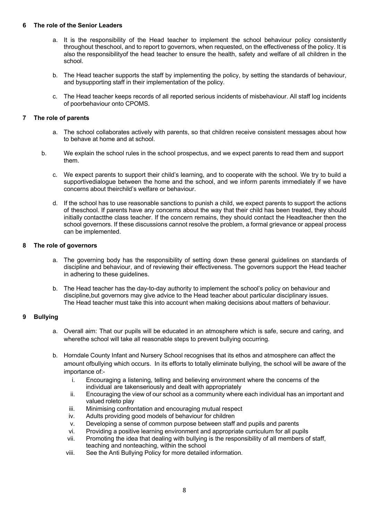#### **6 The role of the Senior Leaders**

- a. It is the responsibility of the Head teacher to implement the school behaviour policy consistently throughout theschool, and to report to governors, when requested, on the effectiveness of the policy. It is also the responsibilityof the head teacher to ensure the health, safety and welfare of all children in the school.
- b. The Head teacher supports the staff by implementing the policy, by setting the standards of behaviour, and bysupporting staff in their implementation of the policy.
- c. The Head teacher keeps records of all reported serious incidents of misbehaviour. All staff log incidents of poorbehaviour onto CPOMS.

#### **7 The role of parents**

- a. The school collaborates actively with parents, so that children receive consistent messages about how to behave at home and at school.
- b. We explain the school rules in the school prospectus, and we expect parents to read them and support them.
	- c. We expect parents to support their child's learning, and to cooperate with the school. We try to build a supportivedialogue between the home and the school, and we inform parents immediately if we have concerns about theirchild's welfare or behaviour.
	- d. If the school has to use reasonable sanctions to punish a child, we expect parents to support the actions of theschool. If parents have any concerns about the way that their child has been treated, they should initially contactthe class teacher. If the concern remains, they should contact the Headteacher then the school governors. If these discussions cannot resolve the problem, a formal grievance or appeal process can be implemented.

#### **8 The role of governors**

- a. The governing body has the responsibility of setting down these general guidelines on standards of discipline and behaviour, and of reviewing their effectiveness. The governors support the Head teacher in adhering to these guidelines.
- b. The Head teacher has the day-to-day authority to implement the school's policy on behaviour and discipline,but governors may give advice to the Head teacher about particular disciplinary issues. The Head teacher must take this into account when making decisions about matters of behaviour.

### **9 Bullying**

- a. Overall aim: That our pupils will be educated in an atmosphere which is safe, secure and caring, and wherethe school will take all reasonable steps to prevent bullying occurring.
- b. Horndale County Infant and Nursery School recognises that its ethos and atmosphere can affect the amount ofbullying which occurs. In its efforts to totally eliminate bullying, the school will be aware of the importance of:
	- i. Encouraging a listening, telling and believing environment where the concerns of the individual are takenseriously and dealt with appropriately
	- ii. Encouraging the view of our school as a community where each individual has an important and valued roleto play
	- iii. Minimising confrontation and encouraging mutual respect
	- iv. Adults providing good models of behaviour for children
	- v. Developing a sense of common purpose between staff and pupils and parents
	- vi. Providing a positive learning environment and appropriate curriculum for all pupils
	- vii. Promoting the idea that dealing with bullying is the responsibility of all members of staff, teaching and nonteaching, within the school
	- viii. See the Anti Bullying Policy for more detailed information.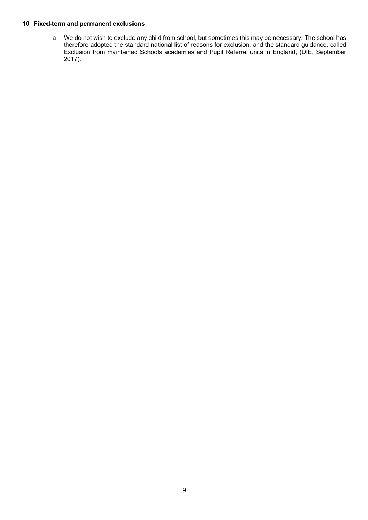#### **10 Fixed-term and permanent exclusions**

a. We do not wish to exclude any child from school, but sometimes this may be necessary. The school has therefore adopted the standard national list of reasons for exclusion, and the standard guidance, called Exclusion from maintained Schools academies and Pupil Referral units in England, (DfE, September 2017).